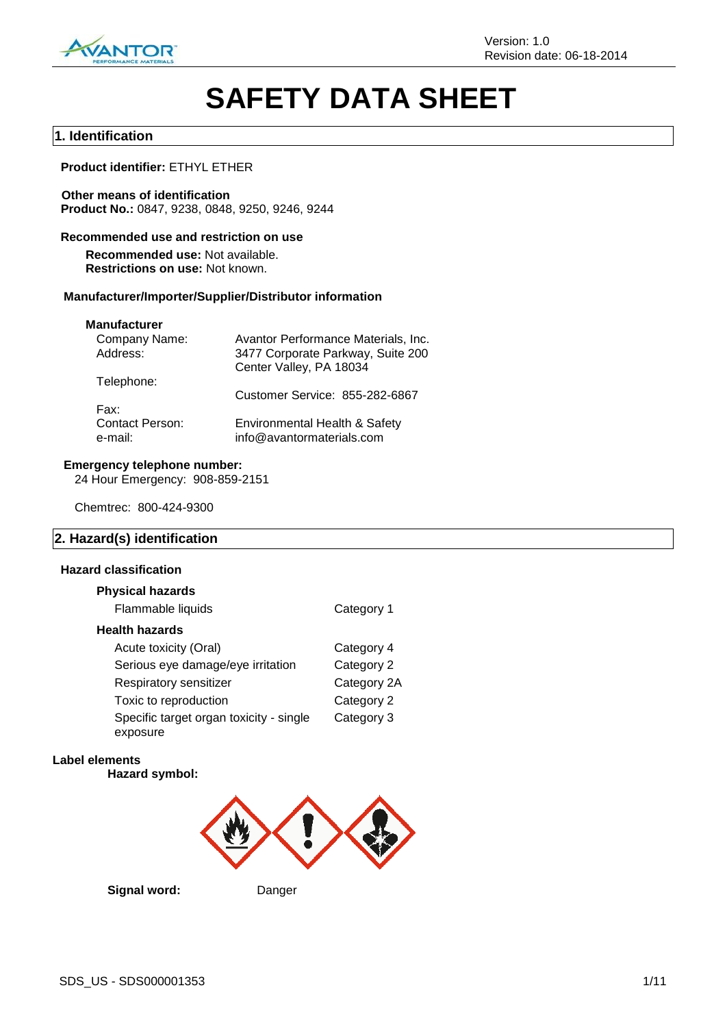

# **SAFETY DATA SHEET**

## **1. Identification**

## **Product identifier:** ETHYL ETHER

**Other means of identification Product No.:** 0847, 9238, 0848, 9250, 9246, 9244

## **Recommended use and restriction on use**

**Recommended use:** Not available. **Restrictions on use:** Not known.

#### **Manufacturer/Importer/Supplier/Distributor information**

#### **Manufacturer**

| Avantor Performance Materials, Inc.                        |
|------------------------------------------------------------|
| 3477 Corporate Parkway, Suite 200                          |
| Center Valley, PA 18034                                    |
|                                                            |
| Customer Service: 855-282-6867                             |
|                                                            |
| Environmental Health & Safety<br>info@avantormaterials.com |
|                                                            |

#### **Emergency telephone number:**

24 Hour Emergency: 908-859-2151

Chemtrec: 800-424-9300

## **2. Hazard(s) identification**

## **Hazard classification**

| <b>Physical hazards</b>                 |             |
|-----------------------------------------|-------------|
| Flammable liquids                       | Category 1  |
| Health hazards                          |             |
| Acute toxicity (Oral)                   | Category 4  |
| Serious eye damage/eye irritation       | Category 2  |
| Respiratory sensitizer                  | Category 2A |
| Toxic to reproduction                   | Category 2  |
| Specific target organ toxicity - single | Category 3  |
| exposure                                |             |

#### **Label elements**

**Hazard symbol:**



**Signal word:** Danger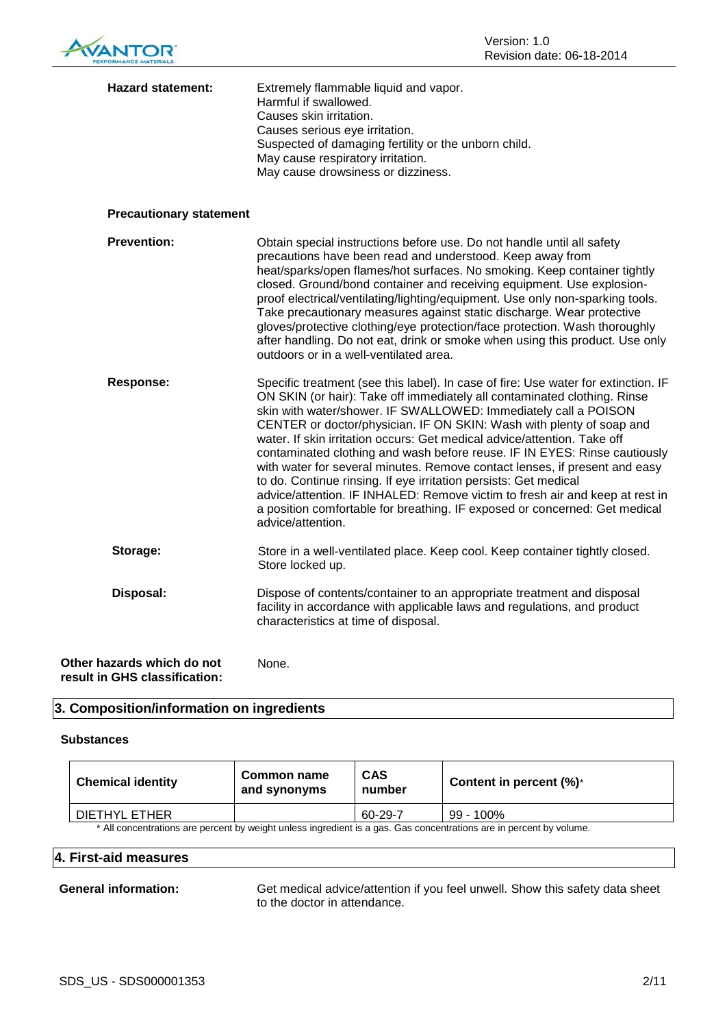

| <b>Hazard statement:</b>                                    | Extremely flammable liquid and vapor.<br>Harmful if swallowed.<br>Causes skin irritation.<br>Causes serious eye irritation.<br>Suspected of damaging fertility or the unborn child.<br>May cause respiratory irritation.<br>May cause drowsiness or dizziness.                                                                                                                                                                                                                                                                                                                                                                                                                                                                                                                                          |
|-------------------------------------------------------------|---------------------------------------------------------------------------------------------------------------------------------------------------------------------------------------------------------------------------------------------------------------------------------------------------------------------------------------------------------------------------------------------------------------------------------------------------------------------------------------------------------------------------------------------------------------------------------------------------------------------------------------------------------------------------------------------------------------------------------------------------------------------------------------------------------|
| <b>Precautionary statement</b>                              |                                                                                                                                                                                                                                                                                                                                                                                                                                                                                                                                                                                                                                                                                                                                                                                                         |
| <b>Prevention:</b>                                          | Obtain special instructions before use. Do not handle until all safety<br>precautions have been read and understood. Keep away from<br>heat/sparks/open flames/hot surfaces. No smoking. Keep container tightly<br>closed. Ground/bond container and receiving equipment. Use explosion-<br>proof electrical/ventilating/lighting/equipment. Use only non-sparking tools.<br>Take precautionary measures against static discharge. Wear protective<br>gloves/protective clothing/eye protection/face protection. Wash thoroughly<br>after handling. Do not eat, drink or smoke when using this product. Use only<br>outdoors or in a well-ventilated area.                                                                                                                                              |
| <b>Response:</b>                                            | Specific treatment (see this label). In case of fire: Use water for extinction. IF<br>ON SKIN (or hair): Take off immediately all contaminated clothing. Rinse<br>skin with water/shower. IF SWALLOWED: Immediately call a POISON<br>CENTER or doctor/physician. IF ON SKIN: Wash with plenty of soap and<br>water. If skin irritation occurs: Get medical advice/attention. Take off<br>contaminated clothing and wash before reuse. IF IN EYES: Rinse cautiously<br>with water for several minutes. Remove contact lenses, if present and easy<br>to do. Continue rinsing. If eye irritation persists: Get medical<br>advice/attention. IF INHALED: Remove victim to fresh air and keep at rest in<br>a position comfortable for breathing. IF exposed or concerned: Get medical<br>advice/attention. |
| Storage:                                                    | Store in a well-ventilated place. Keep cool. Keep container tightly closed.<br>Store locked up.                                                                                                                                                                                                                                                                                                                                                                                                                                                                                                                                                                                                                                                                                                         |
| Disposal:                                                   | Dispose of contents/container to an appropriate treatment and disposal<br>facility in accordance with applicable laws and regulations, and product<br>characteristics at time of disposal.                                                                                                                                                                                                                                                                                                                                                                                                                                                                                                                                                                                                              |
| Other hazards which do not<br>result in GHS classification: | None.                                                                                                                                                                                                                                                                                                                                                                                                                                                                                                                                                                                                                                                                                                                                                                                                   |

## **3. Composition/information on ingredients**

#### **Substances**

| <b>Chemical identity</b>                                                                                            | Common name<br>and synonyms | <b>CAS</b><br>number | Content in percent $(\%)^*$ |
|---------------------------------------------------------------------------------------------------------------------|-----------------------------|----------------------|-----------------------------|
| DIETHYL ETHER                                                                                                       |                             | 60-29-7              | 99 - 100%                   |
| * All concentrations are percent by weight unless ingredient is a gas. Gas concentrations are in percent by volume. |                             |                      |                             |

## **4. First-aid measures**

**General information:** Get medical advice/attention if you feel unwell. Show this safety data sheet to the doctor in attendance.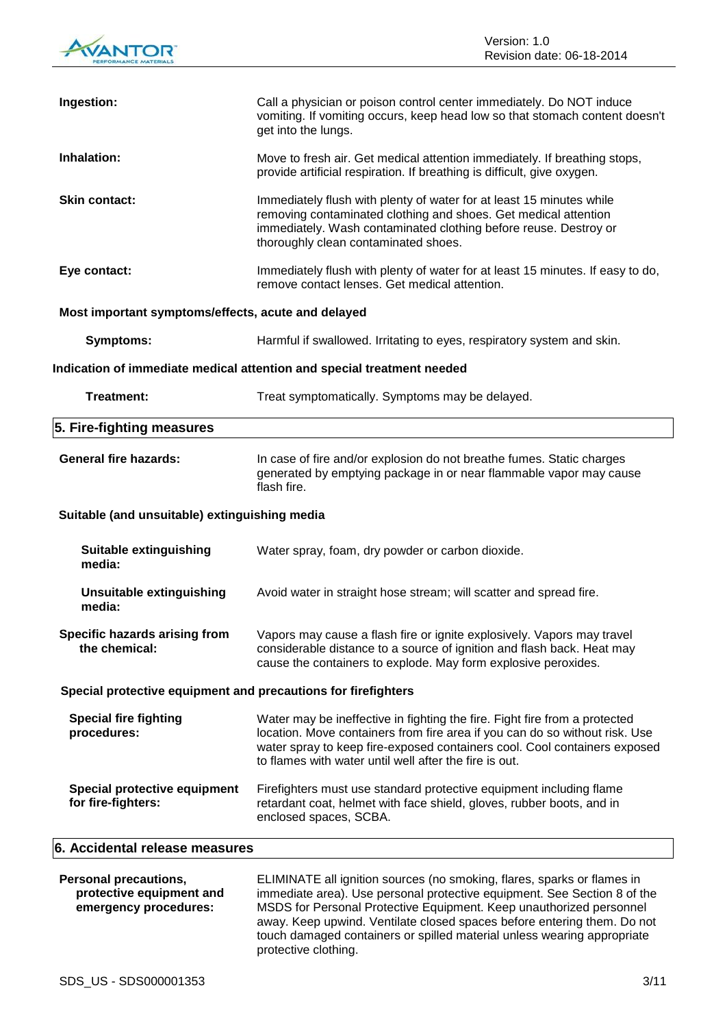

| Ingestion:                                                    | Call a physician or poison control center immediately. Do NOT induce<br>vomiting. If vomiting occurs, keep head low so that stomach content doesn't<br>get into the lungs.                                                                                                                       |  |
|---------------------------------------------------------------|--------------------------------------------------------------------------------------------------------------------------------------------------------------------------------------------------------------------------------------------------------------------------------------------------|--|
| Inhalation:                                                   | Move to fresh air. Get medical attention immediately. If breathing stops,<br>provide artificial respiration. If breathing is difficult, give oxygen.                                                                                                                                             |  |
| <b>Skin contact:</b>                                          | Immediately flush with plenty of water for at least 15 minutes while<br>removing contaminated clothing and shoes. Get medical attention<br>immediately. Wash contaminated clothing before reuse. Destroy or<br>thoroughly clean contaminated shoes.                                              |  |
| Eye contact:                                                  | Immediately flush with plenty of water for at least 15 minutes. If easy to do,<br>remove contact lenses. Get medical attention.                                                                                                                                                                  |  |
| Most important symptoms/effects, acute and delayed            |                                                                                                                                                                                                                                                                                                  |  |
| <b>Symptoms:</b>                                              | Harmful if swallowed. Irritating to eyes, respiratory system and skin.                                                                                                                                                                                                                           |  |
|                                                               | Indication of immediate medical attention and special treatment needed                                                                                                                                                                                                                           |  |
| Treatment:                                                    | Treat symptomatically. Symptoms may be delayed.                                                                                                                                                                                                                                                  |  |
| 5. Fire-fighting measures                                     |                                                                                                                                                                                                                                                                                                  |  |
| <b>General fire hazards:</b>                                  | In case of fire and/or explosion do not breathe fumes. Static charges<br>generated by emptying package in or near flammable vapor may cause<br>flash fire.                                                                                                                                       |  |
| Suitable (and unsuitable) extinguishing media                 |                                                                                                                                                                                                                                                                                                  |  |
| <b>Suitable extinguishing</b><br>media:                       | Water spray, foam, dry powder or carbon dioxide.                                                                                                                                                                                                                                                 |  |
| <b>Unsuitable extinguishing</b><br>media:                     | Avoid water in straight hose stream; will scatter and spread fire.                                                                                                                                                                                                                               |  |
| the chemical:                                                 | Specific hazards arising from Vapors may cause a flash fire or ignite explosively. Vapors may travel<br>considerable distance to a source of ignition and flash back. Heat may<br>cause the containers to explode. May form explosive peroxides.                                                 |  |
| Special protective equipment and precautions for firefighters |                                                                                                                                                                                                                                                                                                  |  |
| <b>Special fire fighting</b><br>procedures:                   | Water may be ineffective in fighting the fire. Fight fire from a protected<br>location. Move containers from fire area if you can do so without risk. Use<br>water spray to keep fire-exposed containers cool. Cool containers exposed<br>to flames with water until well after the fire is out. |  |
| Special protective equipment<br>for fire-fighters:            | Firefighters must use standard protective equipment including flame<br>retardant coat, helmet with face shield, gloves, rubber boots, and in<br>enclosed spaces, SCBA.                                                                                                                           |  |
| 6. Accidental release measures                                |                                                                                                                                                                                                                                                                                                  |  |
|                                                               |                                                                                                                                                                                                                                                                                                  |  |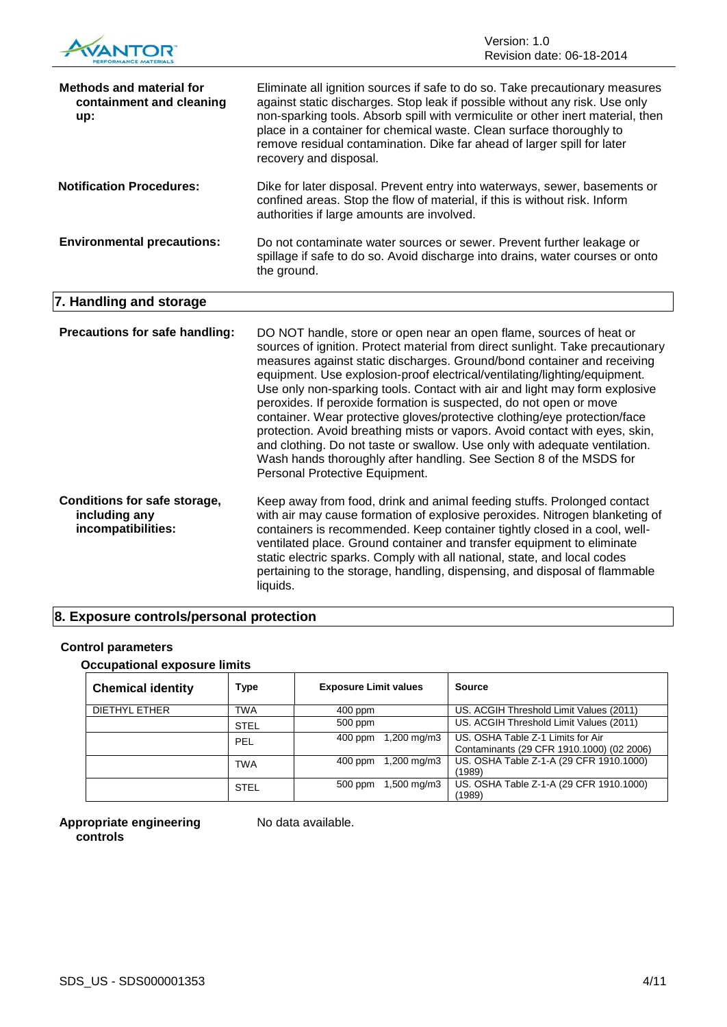

| <b>Methods and material for</b><br>containment and cleaning<br>up: | Eliminate all ignition sources if safe to do so. Take precautionary measures<br>against static discharges. Stop leak if possible without any risk. Use only<br>non-sparking tools. Absorb spill with vermiculite or other inert material, then<br>place in a container for chemical waste. Clean surface thoroughly to<br>remove residual contamination. Dike far ahead of larger spill for later<br>recovery and disposal.                                                                                                                                                                                                                                                                                                                                                                                          |
|--------------------------------------------------------------------|----------------------------------------------------------------------------------------------------------------------------------------------------------------------------------------------------------------------------------------------------------------------------------------------------------------------------------------------------------------------------------------------------------------------------------------------------------------------------------------------------------------------------------------------------------------------------------------------------------------------------------------------------------------------------------------------------------------------------------------------------------------------------------------------------------------------|
| <b>Notification Procedures:</b>                                    | Dike for later disposal. Prevent entry into waterways, sewer, basements or<br>confined areas. Stop the flow of material, if this is without risk. Inform<br>authorities if large amounts are involved.                                                                                                                                                                                                                                                                                                                                                                                                                                                                                                                                                                                                               |
| <b>Environmental precautions:</b>                                  | Do not contaminate water sources or sewer. Prevent further leakage or<br>spillage if safe to do so. Avoid discharge into drains, water courses or onto<br>the ground.                                                                                                                                                                                                                                                                                                                                                                                                                                                                                                                                                                                                                                                |
| 7. Handling and storage                                            |                                                                                                                                                                                                                                                                                                                                                                                                                                                                                                                                                                                                                                                                                                                                                                                                                      |
|                                                                    |                                                                                                                                                                                                                                                                                                                                                                                                                                                                                                                                                                                                                                                                                                                                                                                                                      |
| Precautions for safe handling:                                     | DO NOT handle, store or open near an open flame, sources of heat or<br>sources of ignition. Protect material from direct sunlight. Take precautionary<br>measures against static discharges. Ground/bond container and receiving<br>equipment. Use explosion-proof electrical/ventilating/lighting/equipment.<br>Use only non-sparking tools. Contact with air and light may form explosive<br>peroxides. If peroxide formation is suspected, do not open or move<br>container. Wear protective gloves/protective clothing/eye protection/face<br>protection. Avoid breathing mists or vapors. Avoid contact with eyes, skin,<br>and clothing. Do not taste or swallow. Use only with adequate ventilation.<br>Wash hands thoroughly after handling. See Section 8 of the MSDS for<br>Personal Protective Equipment. |

**including any incompatibilities:** with air may cause formation of explosive peroxides. Nitrogen blanketing of containers is recommended. Keep container tightly closed in a cool, wellventilated place. Ground container and transfer equipment to eliminate static electric sparks. Comply with all national, state, and local codes pertaining to the storage, handling, dispensing, and disposal of flammable liquids.

## **8. Exposure controls/personal protection**

## **Control parameters**

#### **Occupational exposure limits**

| <b>Chemical identity</b> | Type        | <b>Exposure Limit values</b> | <b>Source</b>                                                                  |
|--------------------------|-------------|------------------------------|--------------------------------------------------------------------------------|
| DIETHYL ETHER            | TWA         | 400 ppm                      | US. ACGIH Threshold Limit Values (2011)                                        |
|                          | <b>STEL</b> | 500 ppm                      | US. ACGIH Threshold Limit Values (2011)                                        |
|                          | PEL         | 1,200 mg/m3<br>$400$ ppm     | US. OSHA Table Z-1 Limits for Air<br>Contaminants (29 CFR 1910.1000) (02 2006) |
|                          | <b>TWA</b>  | 1,200 mg/m3<br>400 ppm       | US. OSHA Table Z-1-A (29 CFR 1910.1000)<br>(1989)                              |
|                          | <b>STEL</b> | 1,500 mg/m3<br>500 ppm       | US. OSHA Table Z-1-A (29 CFR 1910.1000)<br>(1989)                              |

**Appropriate engineering controls**

No data available.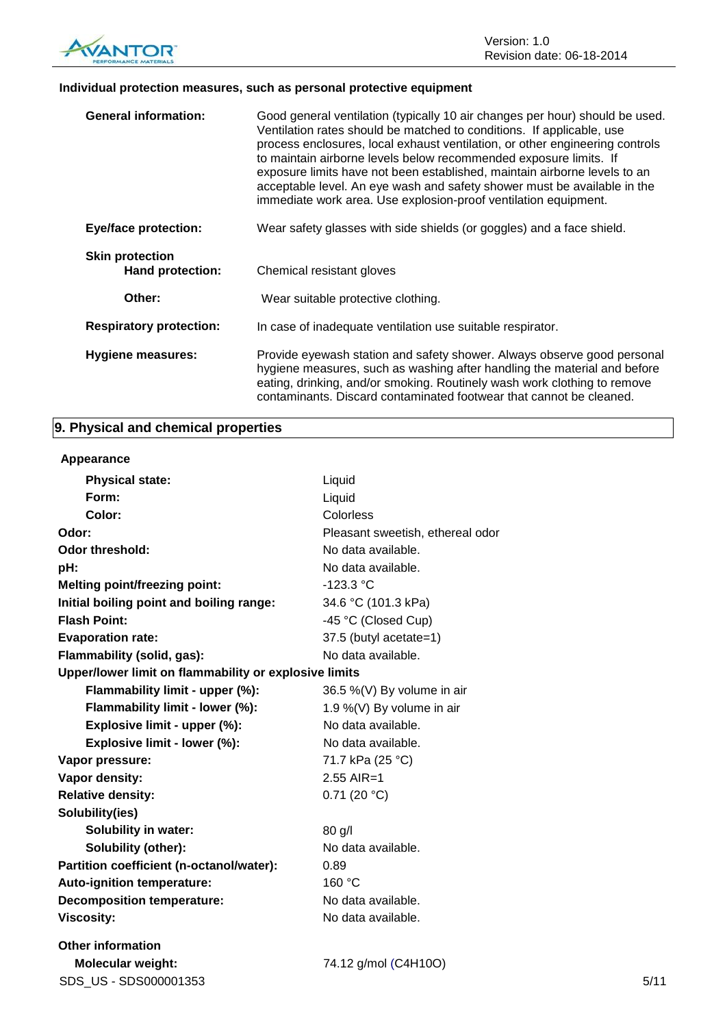

## **Individual protection measures, such as personal protective equipment**

| <b>General information:</b>                       | Good general ventilation (typically 10 air changes per hour) should be used.<br>Ventilation rates should be matched to conditions. If applicable, use<br>process enclosures, local exhaust ventilation, or other engineering controls<br>to maintain airborne levels below recommended exposure limits. If<br>exposure limits have not been established, maintain airborne levels to an<br>acceptable level. An eye wash and safety shower must be available in the<br>immediate work area. Use explosion-proof ventilation equipment. |
|---------------------------------------------------|----------------------------------------------------------------------------------------------------------------------------------------------------------------------------------------------------------------------------------------------------------------------------------------------------------------------------------------------------------------------------------------------------------------------------------------------------------------------------------------------------------------------------------------|
| <b>Eye/face protection:</b>                       | Wear safety glasses with side shields (or goggles) and a face shield.                                                                                                                                                                                                                                                                                                                                                                                                                                                                  |
| <b>Skin protection</b><br><b>Hand protection:</b> | Chemical resistant gloves                                                                                                                                                                                                                                                                                                                                                                                                                                                                                                              |
| Other:                                            | Wear suitable protective clothing.                                                                                                                                                                                                                                                                                                                                                                                                                                                                                                     |
| <b>Respiratory protection:</b>                    | In case of inadequate ventilation use suitable respirator.                                                                                                                                                                                                                                                                                                                                                                                                                                                                             |
| Hygiene measures:                                 | Provide eyewash station and safety shower. Always observe good personal<br>hygiene measures, such as washing after handling the material and before<br>eating, drinking, and/or smoking. Routinely wash work clothing to remove<br>contaminants. Discard contaminated footwear that cannot be cleaned.                                                                                                                                                                                                                                 |

## **9. Physical and chemical properties**

## **Appearance**

| <b>Physical state:</b>                                | Liquid                           |      |
|-------------------------------------------------------|----------------------------------|------|
| Form:                                                 | Liquid                           |      |
| Color:                                                | Colorless                        |      |
| Odor:                                                 | Pleasant sweetish, ethereal odor |      |
| <b>Odor threshold:</b>                                | No data available.               |      |
| pH:                                                   | No data available.               |      |
| <b>Melting point/freezing point:</b>                  | $-123.3 °C$                      |      |
| Initial boiling point and boiling range:              | 34.6 °C (101.3 kPa)              |      |
| <b>Flash Point:</b>                                   | -45 °C (Closed Cup)              |      |
| <b>Evaporation rate:</b>                              | 37.5 (butyl acetate=1)           |      |
| Flammability (solid, gas):                            | No data available.               |      |
| Upper/lower limit on flammability or explosive limits |                                  |      |
| Flammability limit - upper (%):                       | 36.5 %(V) By volume in air       |      |
| Flammability limit - lower (%):                       | 1.9 %(V) By volume in air        |      |
| Explosive limit - upper (%):                          | No data available.               |      |
| Explosive limit - lower (%):                          | No data available.               |      |
| Vapor pressure:                                       | 71.7 kPa (25 °C)                 |      |
| Vapor density:                                        | $2.55$ AIR=1                     |      |
| <b>Relative density:</b>                              | 0.71(20 °C)                      |      |
| Solubility(ies)                                       |                                  |      |
| <b>Solubility in water:</b>                           | $80$ g/l                         |      |
| Solubility (other):                                   | No data available.               |      |
| Partition coefficient (n-octanol/water):              | 0.89                             |      |
| Auto-ignition temperature:                            | 160 °C                           |      |
| <b>Decomposition temperature:</b>                     | No data available.               |      |
| <b>Viscosity:</b>                                     | No data available.               |      |
| <b>Other information</b>                              |                                  |      |
| <b>Molecular weight:</b>                              | 74.12 g/mol (C4H10O)             |      |
| SDS US - SDS000001353                                 |                                  | 5/11 |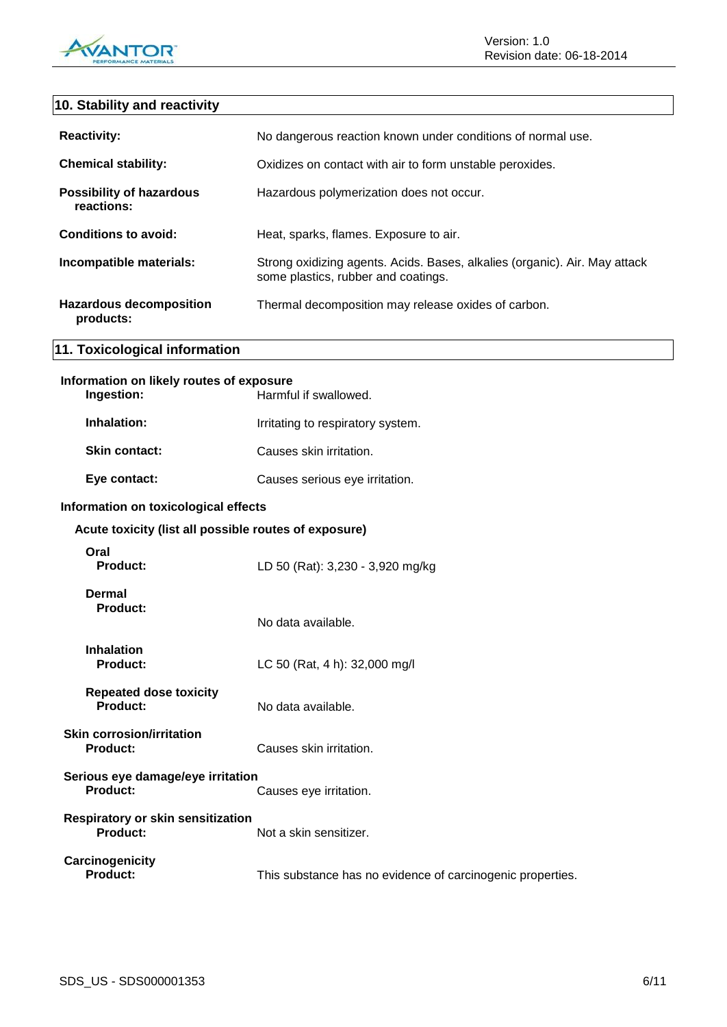

## **10. Stability and reactivity**

| <b>Reactivity:</b>                            | No dangerous reaction known under conditions of normal use.                                                       |
|-----------------------------------------------|-------------------------------------------------------------------------------------------------------------------|
| <b>Chemical stability:</b>                    | Oxidizes on contact with air to form unstable peroxides.                                                          |
| <b>Possibility of hazardous</b><br>reactions: | Hazardous polymerization does not occur.                                                                          |
| Conditions to avoid:                          | Heat, sparks, flames. Exposure to air.                                                                            |
| Incompatible materials:                       | Strong oxidizing agents. Acids. Bases, alkalies (organic). Air. May attack<br>some plastics, rubber and coatings. |
| <b>Hazardous decomposition</b><br>products:   | Thermal decomposition may release oxides of carbon.                                                               |

## **Information on likely routes of exposure**

**11. Toxicological information**

| nformation on likely routes of exposure<br>Ingestion: | Harmful if swallowed.             |
|-------------------------------------------------------|-----------------------------------|
| Inhalation:                                           | Irritating to respiratory system. |
| <b>Skin contact:</b>                                  | Causes skin irritation.           |
| Eye contact:                                          | Causes serious eye irritation.    |

## **Information on toxicological effects**

| Acute toxicity (list all possible routes of exposure) |                                                            |
|-------------------------------------------------------|------------------------------------------------------------|
| Oral<br>Product:                                      | LD 50 (Rat): 3,230 - 3,920 mg/kg                           |
| Dermal<br>Product:                                    | No data available.                                         |
| <b>Inhalation</b><br><b>Product:</b>                  | LC 50 (Rat, 4 h): 32,000 mg/l                              |
| <b>Repeated dose toxicity</b><br>Product:             | No data available.                                         |
| <b>Skin corrosion/irritation</b><br><b>Product:</b>   | Causes skin irritation.                                    |
| Serious eye damage/eye irritation<br>Product:         | Causes eye irritation.                                     |
| <b>Respiratory or skin sensitization</b><br>Product:  | Not a skin sensitizer.                                     |
| Carcinogenicity<br><b>Product:</b>                    | This substance has no evidence of carcinogenic properties. |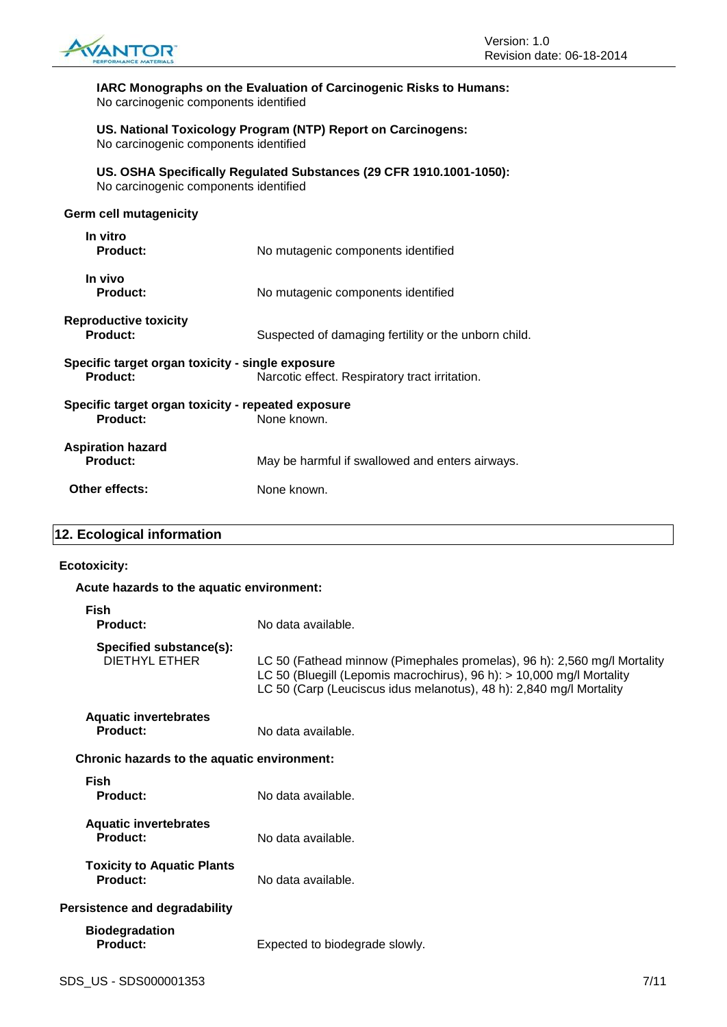

**IARC Monographs on the Evaluation of Carcinogenic Risks to Humans:** No carcinogenic components identified

**US. National Toxicology Program (NTP) Report on Carcinogens:** No carcinogenic components identified

**US. OSHA Specifically Regulated Substances (29 CFR 1910.1001-1050):** No carcinogenic components identified

## **Germ cell mutagenicity**

| In vitro<br>Product:                                                          | No mutagenic components identified                   |  |
|-------------------------------------------------------------------------------|------------------------------------------------------|--|
| In vivo<br><b>Product:</b>                                                    | No mutagenic components identified                   |  |
| <b>Reproductive toxicity</b><br>Product:                                      | Suspected of damaging fertility or the unborn child. |  |
| Specific target organ toxicity - single exposure<br><b>Product:</b>           | Narcotic effect. Respiratory tract irritation.       |  |
| Specific target organ toxicity - repeated exposure<br>None known.<br>Product: |                                                      |  |
| <b>Aspiration hazard</b><br>Product:                                          | May be harmful if swallowed and enters airways.      |  |
| Other effects:                                                                | None known.                                          |  |

## **12. Ecological information**

#### **Ecotoxicity:**

| Acute hazards to the aquatic environment:       |                                                                                                                                                                                                                          |  |
|-------------------------------------------------|--------------------------------------------------------------------------------------------------------------------------------------------------------------------------------------------------------------------------|--|
| Fish<br>Product:                                | No data available.                                                                                                                                                                                                       |  |
| Specified substance(s):<br><b>DIETHYL ETHER</b> | LC 50 (Fathead minnow (Pimephales promelas), 96 h): 2,560 mg/l Mortality<br>LC 50 (Bluegill (Lepomis macrochirus), 96 h): > 10,000 mg/l Mortality<br>LC 50 (Carp (Leuciscus idus melanotus), 48 h): 2,840 mg/l Mortality |  |
| <b>Aquatic invertebrates</b><br>Product:        | No data available.                                                                                                                                                                                                       |  |
| Chronic hazards to the aquatic environment:     |                                                                                                                                                                                                                          |  |
| <b>Fish</b><br>Product:                         | No data available.                                                                                                                                                                                                       |  |
| <b>Aquatic invertebrates</b><br>Product:        | No data available.                                                                                                                                                                                                       |  |
| <b>Toxicity to Aquatic Plants</b><br>Product:   | No data available.                                                                                                                                                                                                       |  |
| Persistence and degradability                   |                                                                                                                                                                                                                          |  |
| <b>Biodegradation</b><br><b>Product:</b>        | Expected to biodegrade slowly.                                                                                                                                                                                           |  |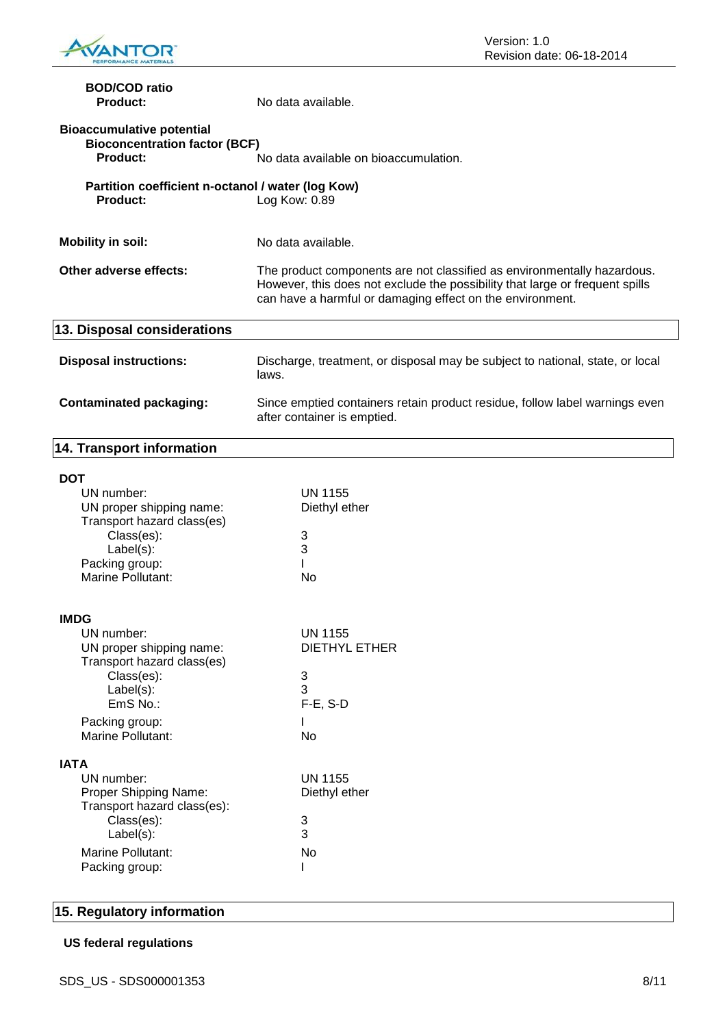

Version: 1.0 Revision date: 06-18-2014

| <b>BOD/COD ratio</b><br><b>Product:</b>                                              | No data available.                                                                                                                                                                                                   |  |
|--------------------------------------------------------------------------------------|----------------------------------------------------------------------------------------------------------------------------------------------------------------------------------------------------------------------|--|
| <b>Bioaccumulative potential</b><br><b>Bioconcentration factor (BCF)</b><br>Product: | No data available on bioaccumulation.                                                                                                                                                                                |  |
| Partition coefficient n-octanol / water (log Kow)<br><b>Product:</b>                 | Log Kow: 0.89                                                                                                                                                                                                        |  |
| <b>Mobility in soil:</b>                                                             | No data available.                                                                                                                                                                                                   |  |
| Other adverse effects:                                                               | The product components are not classified as environmentally hazardous.<br>However, this does not exclude the possibility that large or frequent spills<br>can have a harmful or damaging effect on the environment. |  |
| 13. Disposal considerations                                                          |                                                                                                                                                                                                                      |  |
| <b>Disposal instructions:</b>                                                        | Discharge, treatment, or disposal may be subject to national, state, or local<br>laws.                                                                                                                               |  |
| <b>Contaminated packaging:</b>                                                       | Since emptied containers retain product residue, follow label warnings even<br>after container is emptied.                                                                                                           |  |
| 14. Transport information                                                            |                                                                                                                                                                                                                      |  |
| <b>DOT</b>                                                                           |                                                                                                                                                                                                                      |  |
| UN number:                                                                           | <b>UN 1155</b>                                                                                                                                                                                                       |  |
| UN proper shipping name:                                                             | Diethyl ether                                                                                                                                                                                                        |  |
| Transport hazard class(es)                                                           |                                                                                                                                                                                                                      |  |
| Class(es):                                                                           | 3                                                                                                                                                                                                                    |  |
| Label(s):                                                                            | 3                                                                                                                                                                                                                    |  |

| I<br>×<br>۰. |
|--------------|
|--------------|

| <b>IMDG</b>                                            |                |
|--------------------------------------------------------|----------------|
| UN number:                                             | <b>UN 1155</b> |
| UN proper shipping name:<br>Transport hazard class(es) | DIETHYL ETHER  |
| Class(es):                                             | 3              |
| Label(s):                                              | 3              |
| $EmS$ No.:                                             | $F-E$ , S-D    |
| Packing group:                                         |                |
| Marine Pollutant:                                      | N٥             |
| IATA                                                   |                |
| UN number:                                             | UN 1155        |
| Proper Shipping Name:                                  | Diethyl ether  |
| Transport hazard class(es):                            |                |
| Class(es):<br>Label(s):                                | 3<br>3         |
|                                                        |                |
| Marine Pollutant:<br>Packing group:                    | No             |
|                                                        |                |

Packing group: **I** Marine Pollutant: No

## **15. Regulatory information**

## **US federal regulations**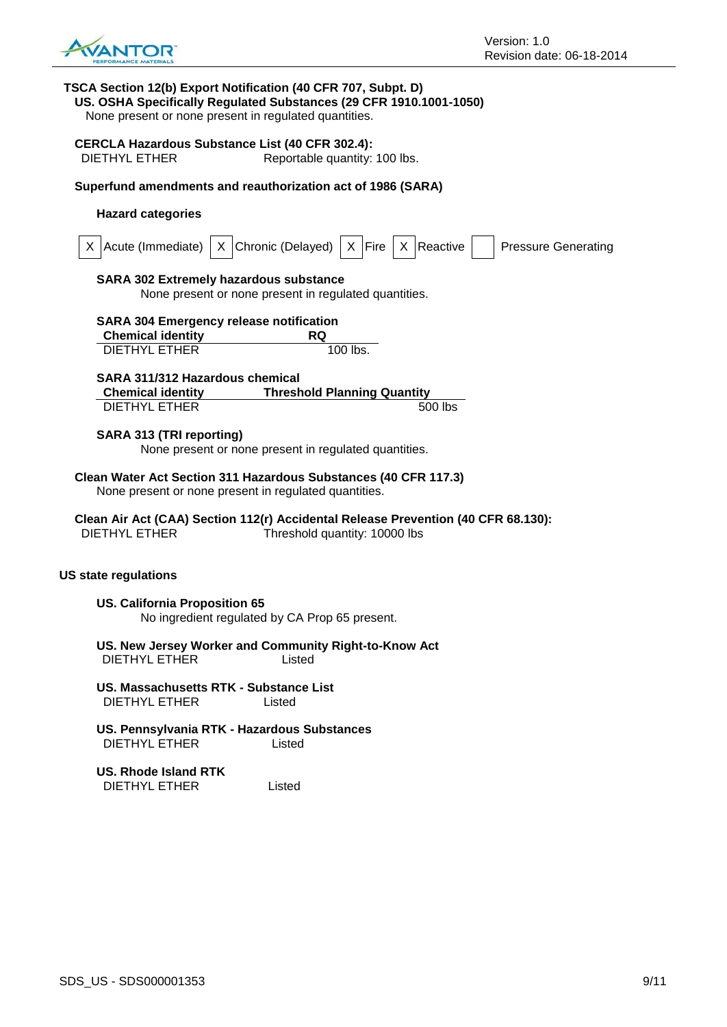

## **TSCA Section 12(b) Export Notification (40 CFR 707, Subpt. D) US. OSHA Specifically Regulated Substances (29 CFR 1910.1001-1050)** None present or none present in regulated quantities. **CERCLA Hazardous Substance List (40 CFR 302.4):** DIETHYL ETHER Reportable quantity: 100 lbs. **Superfund amendments and reauthorization act of 1986 (SARA) Hazard categories** X  $|$ Acute (Immediate)  $|X|$ Chronic (Delayed)  $|X|$  Fire  $|X|$  Reactive  $|$  Pressure Generating **SARA 302 Extremely hazardous substance** None present or none present in regulated quantities. **SARA 304 Emergency release notification Chemical identity RQ** DIETHYL ETHER 100 lbs. **SARA 311/312 Hazardous chemical Chemical identity Threshold Planning Quantity** DIETHYL ETHER 500 lbs **SARA 313 (TRI reporting)** None present or none present in regulated quantities. **Clean Water Act Section 311 Hazardous Substances (40 CFR 117.3)** None present or none present in regulated quantities. **Clean Air Act (CAA) Section 112(r) Accidental Release Prevention (40 CFR 68.130):** DIETHYL ETHER Threshold quantity: 10000 lbs **US state regulations US. California Proposition 65** No ingredient regulated by CA Prop 65 present. **US. New Jersey Worker and Community Right-to-Know Act** DIETHYL ETHER Listed **US. Massachusetts RTK - Substance List** DIETHYL ETHER Listed **US. Pennsylvania RTK - Hazardous Substances** DIETHYL ETHER Listed

**US. Rhode Island RTK** DIETHYL ETHER Listed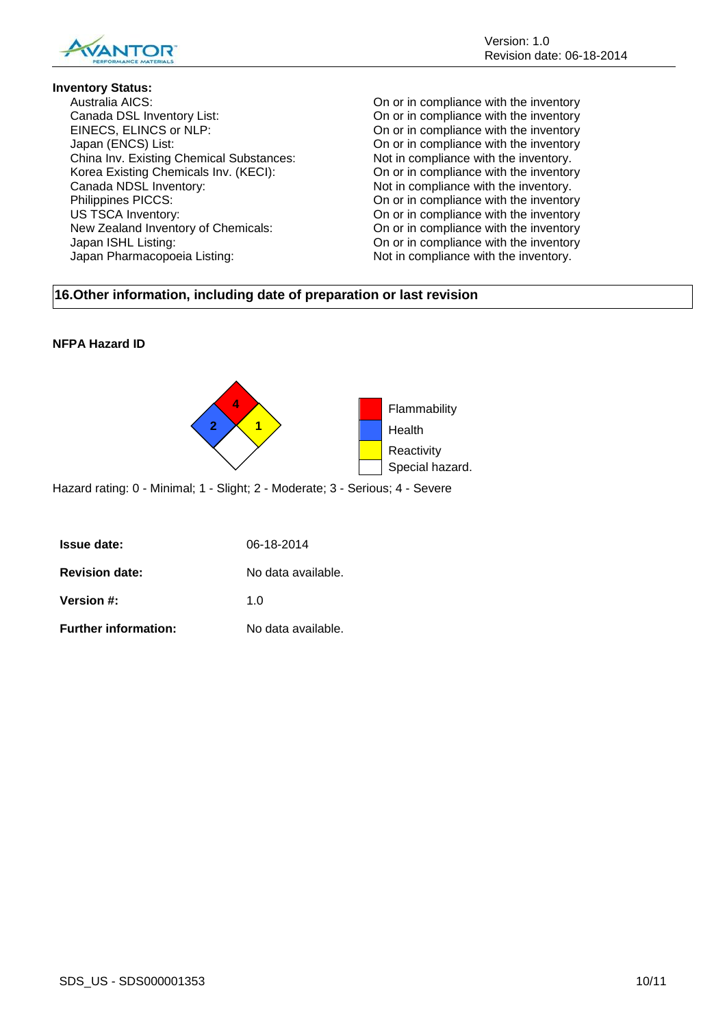

## **Inventory Status:**

Australia AICS: On or in compliance with the inventory Canada DSL Inventory List: On or in compliance with the inventory EINECS, ELINCS or NLP: On or in compliance with the inventory Japan (ENCS) List:<br>
China Inv. Existing Chemical Substances: On or in compliance with the inventory.<br>
Not in compliance with the inventory. China Inv. Existing Chemical Substances: Not in compliance with the inventory.<br>Korea Existing Chemicals Inv. (KECI): On or in compliance with the inventory Korea Existing Chemicals Inv. (KECI): Canada NDSL Inventory:<br>
Philippines PICCS:<br>
On or in compliance with the inventory.<br>
On or in compliance with the inventory. US TSCA Inventory:<br>
New Zealand Inventory of Chemicals:<br>
On or in compliance with the inventory<br>
On or in compliance with the inventory Japan ISHL Listing: On or in compliance with the inventory Japan Pharmacopoeia Listing: Not in compliance with the inventory.

On or in compliance with the inventory On or in compliance with the inventory

## **16.Other information, including date of preparation or last revision**

## **NFPA Hazard ID**



Hazard rating: 0 - Minimal; 1 - Slight; 2 - Moderate; 3 - Serious; 4 - Severe

| <b>Issue date:</b>          | 06-18-2014         |
|-----------------------------|--------------------|
| <b>Revision date:</b>       | No data available. |
| <b>Version #:</b>           | 1 በ                |
| <b>Further information:</b> | No data available. |